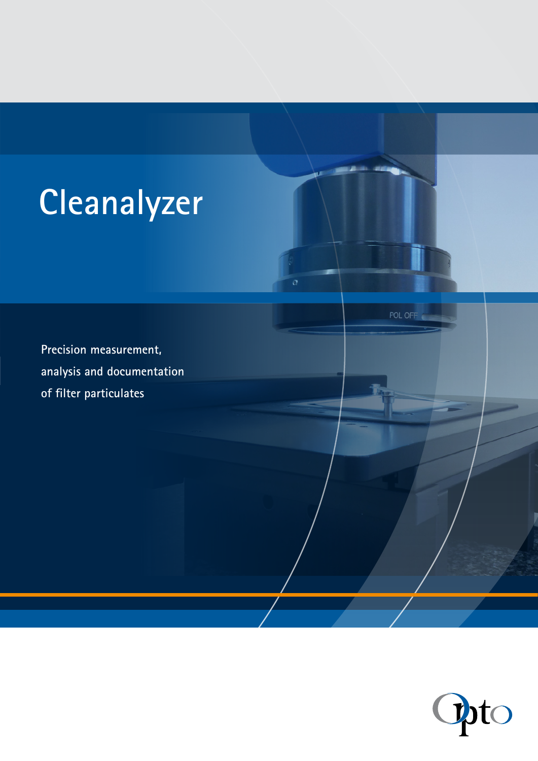# **Cleanalyzer**

 $\overline{o}$ 

POL OFF

**Precision measurement, analysis and documentation of filter particulates**

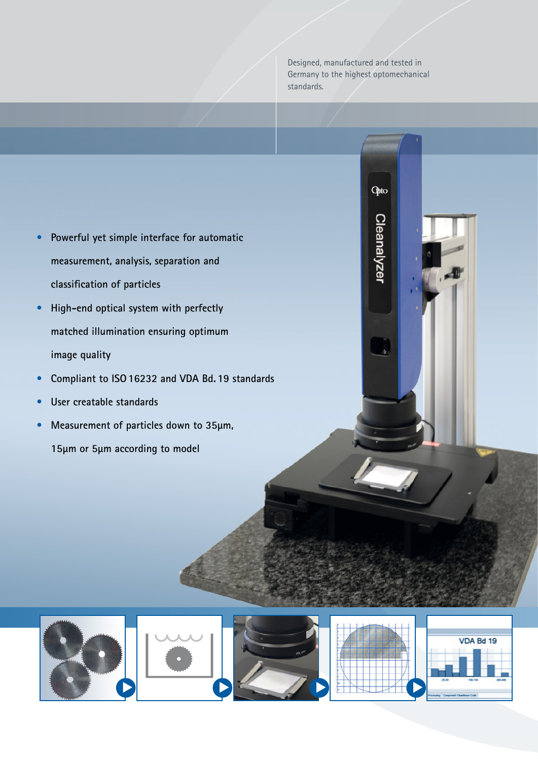Designed, manufactured and tested in Germany to the highest optomechanical standards.

Opto

Cleanalyzer

- **• Powerful yet simple interface for automatic measurement, analysis, separation and classification of particles**
- **• High-end optical system with perfectly matched illumination ensuring optimum image quality**
- **• Compliant to ISO16232 and VDA Bd. 19 standards**
- **• User creatable standards**
- **• Measurement of particles down to 35µm,**

**15µm or 5µm according to model**









| VDA Bd 19           |  |  |  |
|---------------------|--|--|--|
|                     |  |  |  |
|                     |  |  |  |
| 元田                  |  |  |  |
| gones Castines Cale |  |  |  |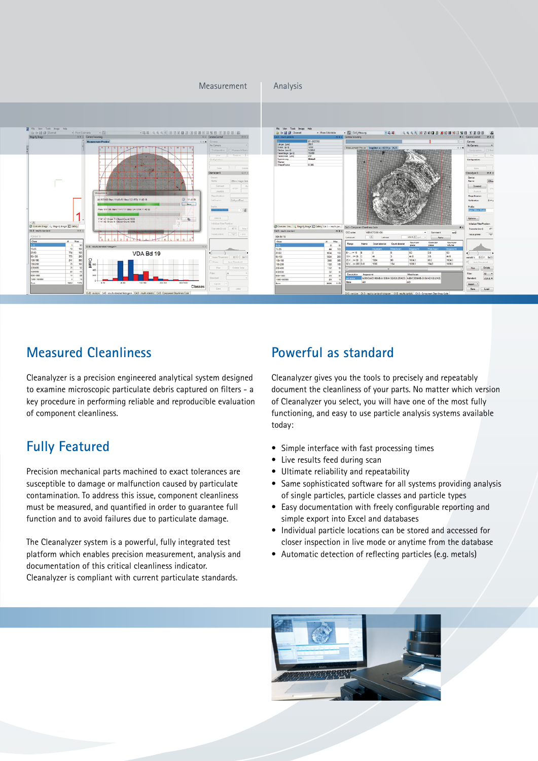

## **Measured Cleanliness**

Cleanalyzer is a precision engineered analytical system designed to examine microscopic particulate debris captured on filters - a key procedure in performing reliable and reproducible evaluation of component cleanliness.

# **Fully Featured**

Precision mechanical parts machined to exact tolerances are susceptible to damage or malfunction caused by particulate contamination. To address this issue, component cleanliness must be measured, and quantified in order to guarantee full function and to avoid failures due to particulate damage.

The Cleanalyzer system is a powerful, fully integrated test platform which enables precision measurement, analysis and documentation of this critical cleanliness indicator. Cleanalyzer is compliant with current particulate standards.

## **Powerful as standard**

Cleanalyzer gives you the tools to precisely and repeatably document the cleanliness of your parts. No matter which version of Cleanalyzer you select, you will have one of the most fully functioning, and easy to use particle analysis systems available today:

- Simple interface with fast processing times
- Live results feed during scan
- • Ultimate reliability and repeatability
- Same sophisticated software for all systems providing analysis of single particles, particle classes and particle types
- Easy documentation with freely configurable reporting and simple export into Excel and databases
- Individual particle locations can be stored and accessed for closer inspection in live mode or anytime from the database
- Automatic detection of reflecting particles (e.g. metals)